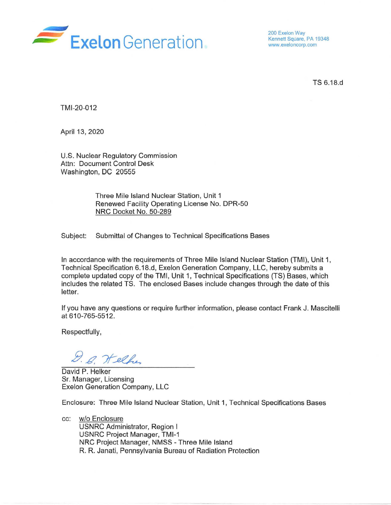

200 Exelon Way Kennett Square, PA 19348 www.exeloncorp.com

TS6.18.d

TMl-20-012

April 13, 2020

U.S. Nuclear Regulatory Commission Attn: Document Control Desk Washington, DC 20555

> Three Mile Island Nuclear Station, Unit 1 Renewed Facility Operating License No. DPR-50 NRC Docket No. 50-289

Subject: Submittal of Changes to Technical Specifications Bases

In accordance with the requirements of Three Mile Island Nuclear Station (TMI), Unit 1, Technical Specification 6.18.d, Exelon Generation Company, LLC, hereby submits a complete updated copy of the TMI, Unit 1, Technical Specifications (TS) Bases, which includes the related TS. The enclosed Bases include changes through the date of this letter.

If you have any questions or require further information, please contact Frank J. Mascitelli at 610-765-5512.

Respectfully,

D. G. Welker

David P. Helker Sr. Manager, Licensing Exelon Generation Company, LLC

Enclosure: Three Mile Island Nuclear Station, Unit 1, Technical Specifications Bases

cc: w/o Enclosure USNRC Administrator, Region I USNRC Project Manager, TMl-1 NRC Project Manager, NMSS - Three Mile Island R. R. Janati, Pennsylvania Bureau of Radiation Protection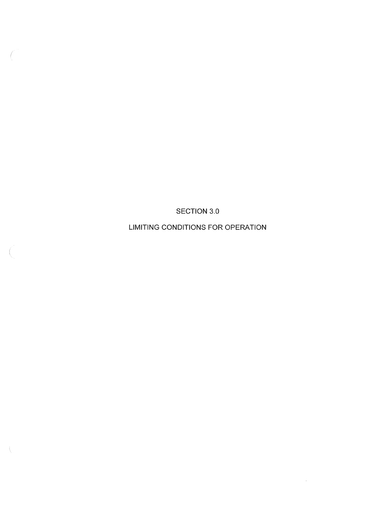SECTION 3.0

LIMITING CONDITIONS FOR OPERATION

 $\mathcal{L}^{\mathcal{L}}$ 

 $\langle$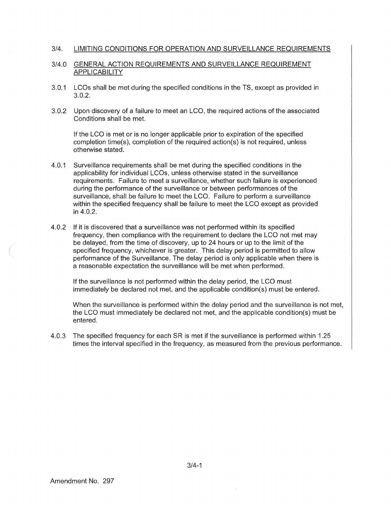### 3/4. LIMITING CONDITIONS FOR OPERATION AND SURVEILLANCE REQUIREMENTS

## 3/4.0 GENERAL ACTION REQUIREMENTS AND SURVEILLANCE REQUIREMENT APPLICABILITY

- 3.0.1 LCOs shall be met during the specified conditions in the TS, except as provided in 3.0.2.
- 3.0.2 Upon discovery of a failure to meet an LCO, the required actions of the associated Conditions shall be met.

If the LCO is met or is no longer applicable prior to expiration of the specified completion time(s), completion of the required action(s) is not required, unless otherwise stated.

- 4.0.1 Surveillance requirements shall be met during the specified conditions in the applicability for individual LCOs, unless otherwise stated in the surveillance requirements. Failure to meet a surveillance, whether such failure is experienced during the performance of the surveillance or between performances of the surveillance, shall be failure to meet the LCO. Failure to perform a surveillance within the specified frequency shall be failure to meet the LCO except as provided in 4.0.2.
- 4.0.2 If it is discovered that a surveillance was not performed within its specified frequency, then compliance with the requirement to declare the LCO not met may be delayed, from the time of discovery, up to 24 hours or up to the limit of the specified frequency, whichever is greater. This delay period is permitted to allow performance of the Surveillance. The delay period is only applicable when there is a reasonable expectation the surveillance will be met when performed.

If the surveillance is not performed within the delay period, the LCO must immediately be declared not met, and the applicable condition(s) must be entered.

When the surveillance is performed within the delay period and the surveillance is not met, the LCO must immediately be declared not met, and the applicable condition(s) must be entered.

4.0.3 The specified frequency for each SR is met if the surveillance is performed within 1.25 times the interval specified in the frequency, as measured from the previous performance.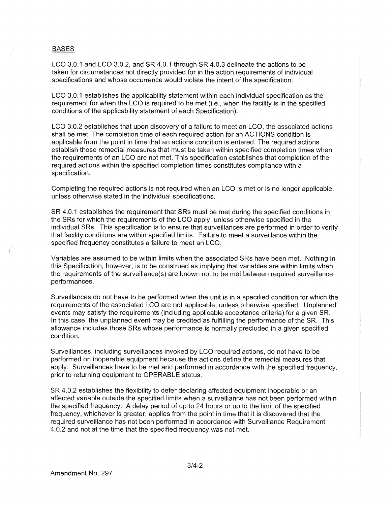# BASES

LCO 3.0.1 and LCO 3.0.2, and SR 4.0.1 through SR 4.0.3 delineate the actions to be taken for circumstances not directly provided for in the action requirements of individual specifications and whose occurrence would violate the intent of the specification.

LCO 3.0.1 establishes the applicability statement within each individual specification as the requirement for when the LCO is required to be met (i.e., when the facility is in the specified conditions of the applicability statement of each Specification).

LCO 3.0.2 establishes that upon discovery of a failure to meet an LCO, the associated actions shall be met. The completion time of each required action for an ACTIONS condition is applicable from the point in time that an actions condition is entered. The required actions establish those remedial measures that must be taken within specified completion times when the requirements of an LCO are not met. This specification establishes that completion of the required actions within the specified completion times constitutes compliance with a specification.

Completing the required actions is not required when an LCO is met or is no longer applicable, unless otherwise stated in the individual specifications.

SR 4.0.1 establishes the requirement that SRs must be met during the specified conditions in the SRs for which the requirements of the LCO apply, unless otherwise specified in the individual SRs. This specification is to ensure that surveillances are performed in order to verify that facility conditions are within specified limits. Failure to meet a surveillance within the specified frequency constitutes a failure to meet an LCO.

Variables are assumed to be within limits when the associated SRs have been met. Nothing in this Specification, however, is to be construed as implying that variables are within limits when the requirements of the surveillance(s) are known not to be met between required surveillance performances.

Surveillances do not have to be performed when the unit is in a specified condition for which the requirements of the associated LCO are not applicable, unless otherwise specified. Unplanned events may satisfy the requirements (including applicable acceptance criteria) for a given SR. In this case, the unplanned event may be credited as fulfilling the performance of the SR. This allowance includes those SRs whose performance is normally precluded in a given specified condition.

Surveillances, including surveillances invoked by LCO required actions, do not have to be performed on inoperable equipment because the actions define the remedial measures that apply. Surveillances have to be met and performed in accordance with the specified frequency, prior to returning equipment to OPERABLE status.

SR 4.0.2 establishes the flexibility to defer declaring affected equipment inoperable or an affected variable outside the specified limits when a surveillance has not been performed within the specified frequency. A delay period of up to 24 hours or up to the limit of the specified frequency, whichever is greater, applies from the point in time that it is discovered that the required surveillance has not been performed in accordance with Surveillance Requirement 4.0.2 and not at the time that the specified frequency was not met.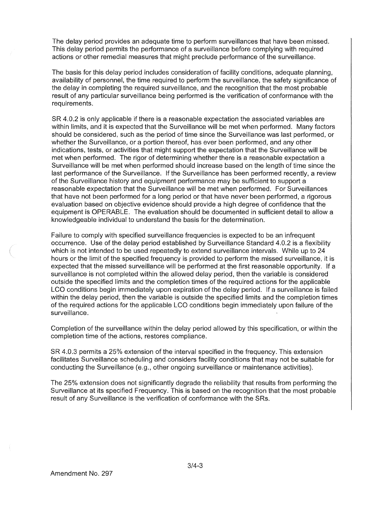The delay period provides an adequate time to perform surveillances that have been missed. This delay period permits the performance of a surveillance before complying with required actions or other remedial measures that might preclude performance of the surveillance.

The basis for this delay period includes consideration of facility conditions, adequate planning, availability of personnel, the time required to perform the surveillance, the safety significance of the delay in completing the required surveillance, and the recognition that the most probable result of any particular surveillance being performed is the verification of conformance with the requirements.

SR 4.0.2 is only applicable if there is a reasonable expectation the associated variables are within limits, and it is expected that the Surveillance will be met when performed. Many factors should be considered, such as the period of time since the Surveillance was last performed, or whether the Surveillance, or a portion thereof, has ever been performed, and any other indications, tests, or activities that might support the expectation that the Surveillance will be met when performed. The rigor of determining whether there is a reasonable expectation a Surveillance will be met when performed should increase based on the length of time since the last performance of the Surveillance. If the Surveillance has been performed recently, a review of the Surveillance history and equipment performance may be sufficient to support a reasonable expectation that the Surveillance will be met when performed. For Surveillances that have not been performed for a long period or that have never been performed, a rigorous evaluation based on objective evidence should provide a high degree of confidence that the equipment is OPERABLE. The evaluation should be documented in sufficient detail to allow a knowledgeable individual to understand the basis for the determination.

Failure to comply with specified surveillance frequencies is expected to be an infrequent occurrence. Use of the delay period established by Surveillance Standard 4.0.2 is a flexibility which is not intended to be used repeatedly to extend surveillance intervals. While up to 24 hours or the limit of the specified frequency is provided to perform the missed surveillance, it is expected that the missed surveillance will be performed at the first reasonable opportunity. If a surveillance is not completed within the allowed delay period, then the variable is considered outside the specified limits and the completion times of the required actions for the applicable LCO conditions begin immediately upon expiration of the delay period. If a surveillance is failed within the delay period, then the variable is outside the specified limits and the completion times of the required actions for the applicable LCO conditions begin immediately upon failure of the surveillance.

Completion of the surveillance within the delay period allowed by this specification, or within the completion time of the actions, restores compliance.

SR 4.0.3 permits a 25% extension of the interval specified in the frequency. This extension facilitates Surveillance scheduling and considers facility conditions that may not be suitable for conducting the Surveillance (e.g., other ongoing surveillance or maintenance activities).

The 25% extension does not significantly degrade the reliability that results from performing the Surveillance at its specified Frequency. This is based on the recognition that the most probable result of any Surveillance is the verification of conformance with the SRs.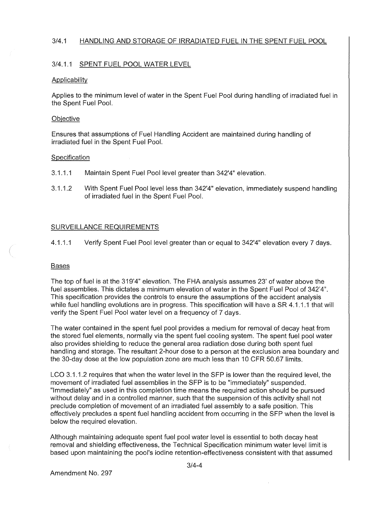# 3/4.1 HANDLING AND STORAGE OF IRRADIATED FUEL IN THE SPENT FUEL POOL

# 3/4.1.1 SPENT FUEL POOL WATER LEVEL

## **Applicability**

Applies to the minimum level of water in the Spent Fuel Pool during handling of irradiated fuel in the Spent Fuel Pool.

## **Objective**

Ensures that assumptions of Fuel Handling Accident are maintained during handling of irradiated fuel in the Spent Fuel Pool.

# **Specification**

- 3.1.1.1 Maintain Spent Fuel Pool level greater than 342'4" elevation.
- 3.1.1.2 With Spent Fuel Pool level less than 342'4" elevation, immediately suspend handling of irradiated fuel in the Spent Fuel Pool.

# SURVEILLANCE REQUIREMENTS

4.1.1.1 Verify Spent Fuel Pool level greater than or equal to 342'4" elevation every 7 days.

## **Bases**

The top of fuel is at the 319'4" elevation. The FHA analysis assumes 23' of water above the fuel assemblies. This dictates a minimum elevation of water in the Spent Fuel Pool of 342'4". This specification provides the controls to ensure the assumptions of the accident analysis while fuel handling evolutions are in progress. This specification will have a SR 4.1.1.1 that will verify the Spent Fuel Pool water level on a frequency of 7 days.

The water contained in the spent fuel pool provides a medium for removal of decay heat from the stored fuel elements, normally via the spent fuel cooling system. The spent fuel pool water also provides shielding to reduce the general area radiation dose during both spent fuel handling and storage. The resultant 2-hour dose to a person at the exclusion area boundary and the 30-day dose at the low population zone are much less than 10 CFR 50.67 limits.

LCO 3.1.1.2 requires that when the water level in the SFP is lower than the required level, the movement of irradiated fuel assemblies in the SFP is to be "immediately" suspended. "Immediately" as used in this completion time means the required action should be pursued without delay and in a controlled manner, such that the suspension of this activity shall not preclude completion of movement of an irradiated fuel assembly to a safe position. This effectively precludes a spent fuel handling accident from occurring in the SFP when the level is below the required elevation.

Although maintaining adequate spent fuel pool water level is essential to both decay heat removal and shielding effectiveness, the Technical Specification minimum water level limit is based upon maintaining the pool's iodine retention-effectiveness consistent with that assumed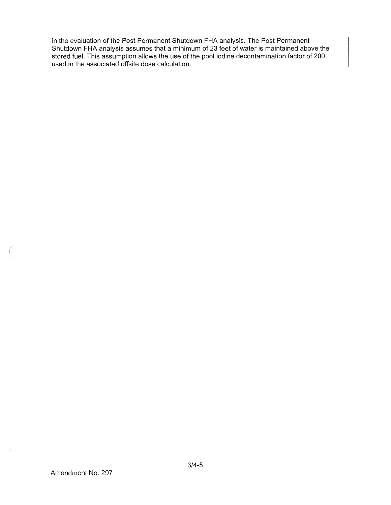in the evaluation of the Post Permanent Shutdown FHA analysis. The Post Permanent Shutdown FHA analysis assumes that a minimum of 23 feet of water is maintained above the stored fuel. This assumption allows the use of the pool iodine decontamination factor of 200 used in the associated offsite dose calculation.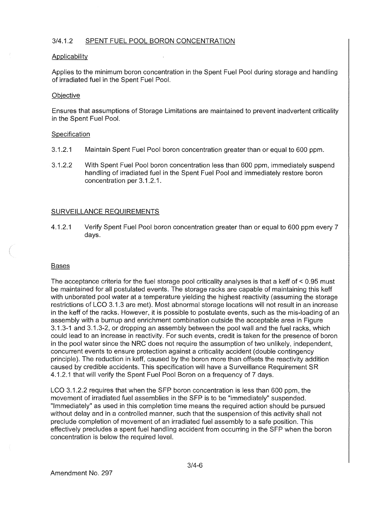# 3/4.1.2 SPENT FUEL POOL BORON CONCENTRATION

#### **Applicability**

Applies to the minimum boron concentration in the Spent Fuel Pool during storage and handling of irradiated fuel in the Spent Fuel Pool.

#### **Objective**

Ensures that assumptions of Storage Limitations are maintained to prevent inadvertent criticality in the Spent Fuel Pool.

#### Specification

- 3.1.2.1 Maintain Spent Fuel Pool boron concentration greater than or equal to 600 ppm.
- 3.1.2.2 With Spent Fuel Pool boron concentration less than 600 ppm, immediately suspend handling of irradiated fuel in the Spent Fuel Pool and immediately restore boron concentration per 3.1.2.1.

## SURVEILLANCE REQUIREMENTS

4.1.2.1 Verify Spent Fuel Pool boron concentration greater than or equal to 600 ppm every 7 days.

#### **Bases**

The acceptance criteria for the fuel storage pool criticality analyses is that a keff of< 0.95 must be maintained for all postulated events. The storage racks are capable of maintaining this keff with unborated pool water at a temperature yielding the highest reactivity (assuming the storage restrictions of LCO 3.1.3 are met). Most abnormal storage locations will not result in an increase in the keff of the racks. However, it is possible to postulate events, such as the mis-loading of an assembly with a burnup and enrichment combination outside the acceptable area in Figure 3.1.3-1 and 3.1.3-2, or dropping an assembly between the pool wall and the fuel racks, which could lead to an increase in reactivity. For such events, credit is taken for the presence of boron in the pool water since the NRC does not require the assumption of two unlikely, independent, concurrent events to ensure protection against a criticality accident (double contingency principle). The reduction in keff, caused by the boron more than offsets the reactivity addition caused by credible accidents. This specification will have a Surveillance Requirement SR 4.1.2.1 that will verify the Spent Fuel Pool Boron on a frequency of 7 days.

LCO 3.1.2.2 requires that when the SFP boron concentration is less than 600 ppm, the movement of irradiated fuel assemblies in the SFP is to be "immediately" suspended. "Immediately" as used in this completion time means the required action should be pursued without delay and in a controlled manner, such that the suspension of this activity shall not preclude completion of movement of an irradiated fuel assembly to a safe position. This effectively precludes a spent fuel handling accident from occurring in the SFP when the boron concentration is below the required level.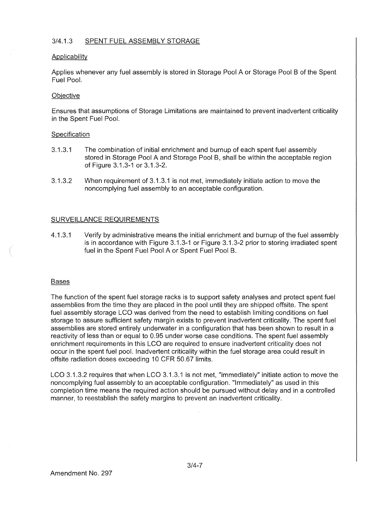# 3/4.1.3 SPENT FUEL ASSEMBLY STORAGE

## Applicability

Applies whenever any fuel assembly is stored in Storage Pool A or Storage Pool B of the Spent Fuel Pool.

# **Objective**

Ensures that assumptions of Storage Limitations are maintained to prevent inadvertent criticality in the Spent Fuel Pool.

# Specification

- 3.1.3.1 The combination of initial enrichment and burnup of each spent fuel assembly stored in Storage Pool A and Storage Pool B, shall be within the acceptable region of Figure 3.1.3-1 or 3.1.3-2.
- 3.1.3.2 When requirement of 3.1.3.1 is not met, immediately initiate action to move the noncomplying fuel assembly to an acceptable configuration.

# SURVEILLANCE REQUIREMENTS

4.1.3.1 Verify by administrative means the initial enrichment and burnup of the fuel assembly is in accordance with Figure 3.1.3-1 or Figure 3.1.3-2 prior to storing irradiated spent fuel in the Spent Fuel Pool A or Spent Fuel Pool B.

## **Bases**

The function of the spent fuel storage racks is to support safety analyses and protect spent fuel assemblies from the time they are placed in the pool until they are shipped offsite. The spent fuel assembly storage LCO was derived from the need to establish limiting conditions on fuel storage to assure sufficient safety margin exists to prevent inadvertent criticality. The spent fuel assemblies are stored entirely underwater in a configuration that has been shown to result in a reactivity of less than or equal to 0.95 under worse case conditions. The spent fuel assembly enrichment requirements in this LCO are required to ensure inadvertent criticality does not occur in the spent fuel pool. Inadvertent criticality within the fuel storage area could result in offsite radiation doses exceeding 10 CFR 50.67 limits.

LCO 3.1.3.2 requires that when LCO 3.1.3.1 is not met, "immediately" initiate action to move the noncomplying fuel assembly to an acceptable configuration. "Immediately" as used in this completion time means the required action should be pursued without delay and in a controlled manner, to reestablish the safety margins to prevent an inadvertent criticality.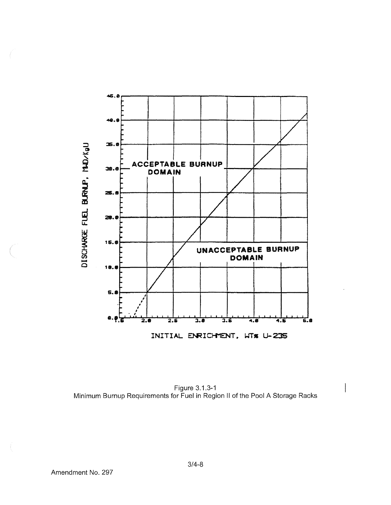

Figure 3.1.3-1<br>Minimum Burnup Requirements for Fuel in Region II of the Pool A Storage Racks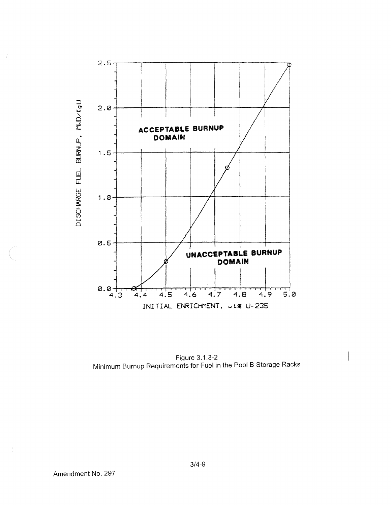

Figure 3.1.3-2 Minimum Burnup Requirements for Fuel in the Pool B Storage Racks

 $\bar{x}$ 

 $3/4 - 9$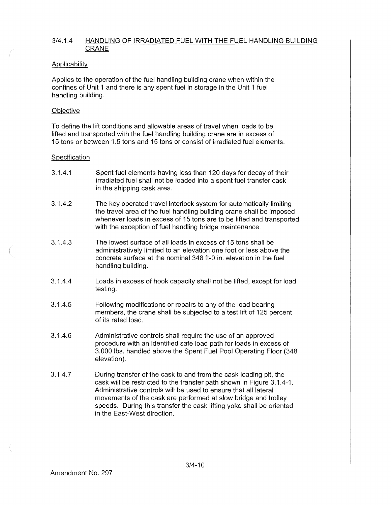# 3/4.1.4 HANDLING OF IRRADIATED FUEL WITH THE FUEL HANDLING BUILDING CRANE

## **Applicability**

Applies to the operation of the fuel handling building crane when within the confines of Unit 1 and there is any spent fuel in storage in the Unit 1 fuel handling building.

# **Objective**

To define the lift conditions and allowable areas of travel when loads to be lifted and transported with the fuel handling building crane are in excess of 15 tons or between 1.5 tons and 15 tons or consist of irradiated fuel elements.

# Specification

- 3.1.4.1 Spent fuel elements having less than 120 days for decay of their irradiated fuel shall not be loaded into a spent fuel transfer cask in the shipping cask area.
- 3.1.4.2 The key operated travel interlock system for automatically limiting the travel area of the fuel handling building crane shall be imposed whenever loads in excess of 15 tons are to be lifted and transported with the exception of fuel handling bridge maintenance.
- 3.1.4.3 The lowest surface of all loads in excess of 15 tons shall be administratively limited to an elevation one foot or less above the concrete surface at the nominal 348 ft-0 in. elevation in the fuel handling building.
- 3.1.4.4 Loads in excess of hook capacity shall not be lifted, except for load testing.
- 3.1.4.5 Following modifications or repairs to any of the load bearing members, the crane shall be subjected to a test lift of 125 percent of its rated load.
- 3.1.4.6 Administrative controls shall require the use of an approved procedure with an identified safe load path for loads in excess of 3,000 lbs. handled above the Spent Fuel Pool Operating Floor (348' elevation).
- 3.1.4.7 During transfer of the cask to and from the cask loading pit, the cask will be restricted to the transfer path shown in Figure 3.1.4-1. Administrative controls will be used to ensure that all lateral movements of the cask are performed at slow bridge and trolley speeds. During this transfer the cask lifting yoke shall be oriented in the East-West direction.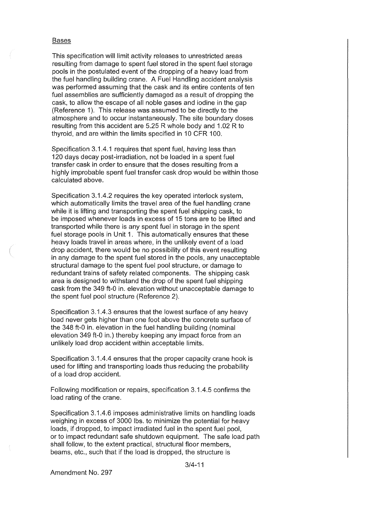#### **Bases**

This specification will limit activity releases to unrestricted areas resulting from damage to spent fuel stored in the spent fuel storage pools in the postulated event of the dropping of a heavy load from the fuel handling building crane. A Fuel Handling accident analysis was performed assuming that the cask and its entire contents of ten fuel assemblies are sufficiently damaged as a result of dropping the cask, to allow the escape of all noble gases and iodine in the gap (Reference 1). This release was assumed to be directly to the atmosphere and to occur instantaneously. The site boundary doses resulting from this accident are 5.25 R whole body and 1.02 R to thyroid, and are within the limits specified in 10 CFR 100.

Specification 3.1.4.1 requires that spent fuel, having less than 120 days decay post-irradiation, not be loaded in a spent fuel transfer cask in order to ensure that the doses resulting from a highly improbable spent fuel transfer cask drop would be within those calculated above.

Specification 3.1.4.2 requires the key operated interlock system, which automatically limits the travel area of the fuel handling crane while it is lifting and transporting the spent fuel shipping cask, to be imposed whenever loads in excess of 15 tons are to be lifted and transported while there is any spent fuel in storage in the spent fuel storage pools in Unit 1. This automatically ensures that these heavy loads travel in areas where, in the unlikely event of a load drop accident, there would be no possibility of this event resulting in any damage to the spent fuel stored in the pools, any unacceptable structural damage to the spent fuel pool structure, or damage to redundant trains of safety related components. The shipping cask area is designed to withstand the drop of the spent fuel shipping cask from the 349 ft-0 in. elevation without unacceptable damage to the spent fuel pool structure (Reference 2).

Specification 3.1.4.3 ensures that the lowest surface of any heavy load never gets higher than one foot above the concrete surface of the 348 ft-0 in. elevation in the fuel handling building (nominal elevation 349 ft-0 in.) thereby keeping any impact force from an unlikely load drop accident within acceptable limits.

Specification 3.1.4.4 ensures that the proper capacity crane hook is used for lifting and transporting loads thus reducing the probability of a load drop accident.

Following modification or repairs, specification 3.1.4.5 confirms the load rating of the crane.

Specification 3.1.4.6 imposes administrative limits on handling loads weighing in excess of 3000 lbs. to minimize the potential for heavy loads, if dropped, to impact irradiated fuel in the spent fuel pool, or to impact redundant safe shutdown equipment. The safe load path shall follow, to the extent practical, structural floor members, beams, etc., such that if the load is dropped, the structure is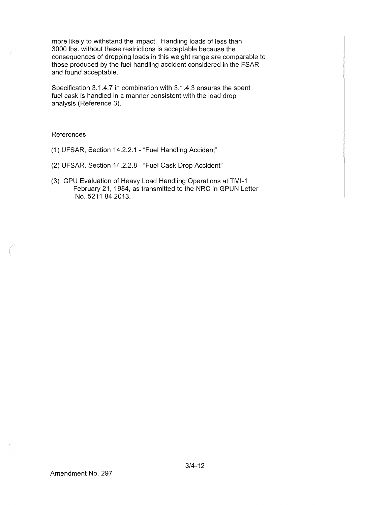more likely to withstand the impact. Handling loads of less than 3000 lbs. without these restrictions is acceptable because the consequences of dropping loads in this weight range are comparable to those produced by the fuel handling accident considered in the FSAR and found acceptable.

Specification 3.1.4.7 in combination with 3.1.4.3 ensures the spent fuel cask is handled in a manner consistent with the load drop analysis (Reference 3).

### References

- (1) UFSAR, Section 14.2.2.1 "Fuel Handling Accident"
- (2) UFSAR, Section 14.2.2.8 "Fuel Cask Drop Accident"
- (3) GPU Evaluation of Heavy Load Handling Operations at TMl-1 February 21, 1984, as transmitted to the NRC in GPUN Letter No. 5211 84 2013.